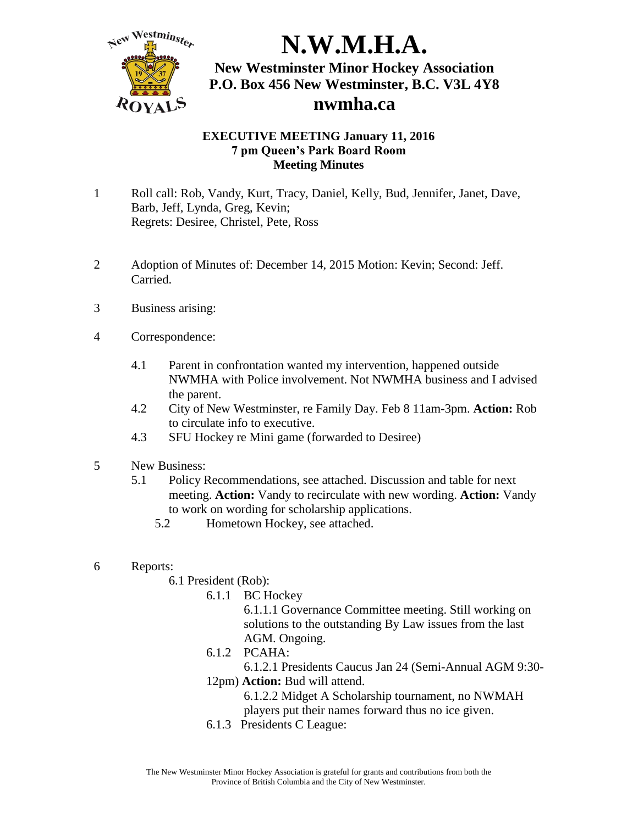

#### **EXECUTIVE MEETING January 11, 2016 7 pm Queen's Park Board Room Meeting Minutes**

- 1 Roll call: Rob, Vandy, Kurt, Tracy, Daniel, Kelly, Bud, Jennifer, Janet, Dave, Barb, Jeff, Lynda, Greg, Kevin; Regrets: Desiree, Christel, Pete, Ross
- 2 Adoption of Minutes of: December 14, 2015 Motion: Kevin; Second: Jeff. Carried.
- 3 Business arising:
- 4 Correspondence:
	- 4.1 Parent in confrontation wanted my intervention, happened outside NWMHA with Police involvement. Not NWMHA business and I advised the parent.
	- 4.2 City of New Westminster, re Family Day. Feb 8 11am-3pm. **Action:** Rob to circulate info to executive.
	- 4.3 SFU Hockey re Mini game (forwarded to Desiree)
- 5 New Business:
	- 5.1 Policy Recommendations, see attached. Discussion and table for next meeting. **Action:** Vandy to recirculate with new wording. **Action:** Vandy to work on wording for scholarship applications.
		- 5.2 Hometown Hockey, see attached.
- 6 Reports:
	- 6.1 President (Rob):
		- 6.1.1 BC Hockey

6.1.1.1 Governance Committee meeting. Still working on solutions to the outstanding By Law issues from the last AGM. Ongoing.

- 6.1.2 PCAHA:
	- 6.1.2.1 Presidents Caucus Jan 24 (Semi-Annual AGM 9:30-
- 12pm) **Action:** Bud will attend.

6.1.2.2 Midget A Scholarship tournament, no NWMAH players put their names forward thus no ice given.

6.1.3 Presidents C League: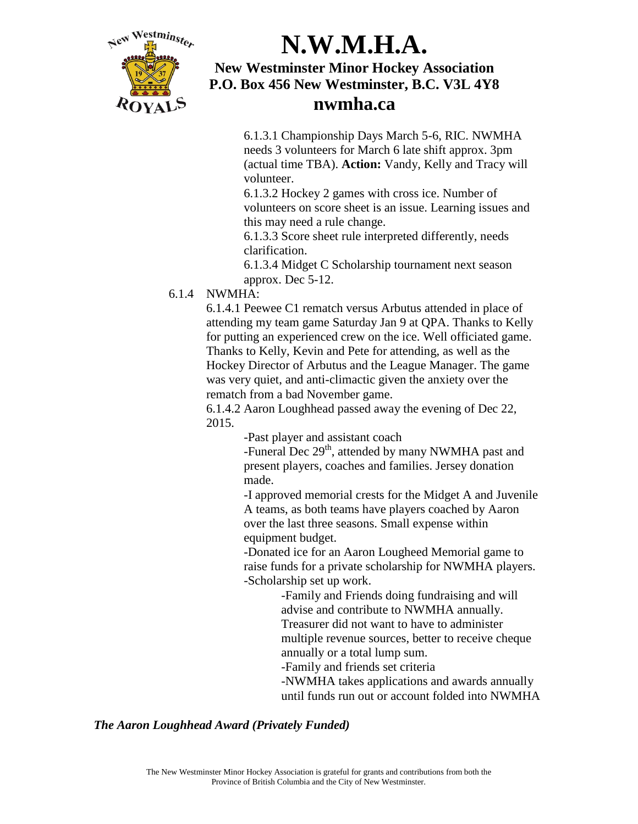

6.1.3.1 Championship Days March 5-6, RIC. NWMHA needs 3 volunteers for March 6 late shift approx. 3pm (actual time TBA). **Action:** Vandy, Kelly and Tracy will volunteer.

6.1.3.2 Hockey 2 games with cross ice. Number of volunteers on score sheet is an issue. Learning issues and this may need a rule change.

6.1.3.3 Score sheet rule interpreted differently, needs clarification.

6.1.3.4 Midget C Scholarship tournament next season approx. Dec 5-12.

#### 6.1.4 NWMHA:

6.1.4.1 Peewee C1 rematch versus Arbutus attended in place of attending my team game Saturday Jan 9 at QPA. Thanks to Kelly for putting an experienced crew on the ice. Well officiated game. Thanks to Kelly, Kevin and Pete for attending, as well as the Hockey Director of Arbutus and the League Manager. The game was very quiet, and anti-climactic given the anxiety over the rematch from a bad November game.

6.1.4.2 Aaron Loughhead passed away the evening of Dec 22, 2015.

-Past player and assistant coach

-Funeral Dec 29<sup>th</sup>, attended by many NWMHA past and present players, coaches and families. Jersey donation made.

-I approved memorial crests for the Midget A and Juvenile A teams, as both teams have players coached by Aaron over the last three seasons. Small expense within equipment budget.

-Donated ice for an Aaron Lougheed Memorial game to raise funds for a private scholarship for NWMHA players. -Scholarship set up work.

-Family and Friends doing fundraising and will advise and contribute to NWMHA annually. Treasurer did not want to have to administer multiple revenue sources, better to receive cheque annually or a total lump sum.

-Family and friends set criteria

-NWMHA takes applications and awards annually until funds run out or account folded into NWMHA

#### *The Aaron Loughhead Award (Privately Funded)*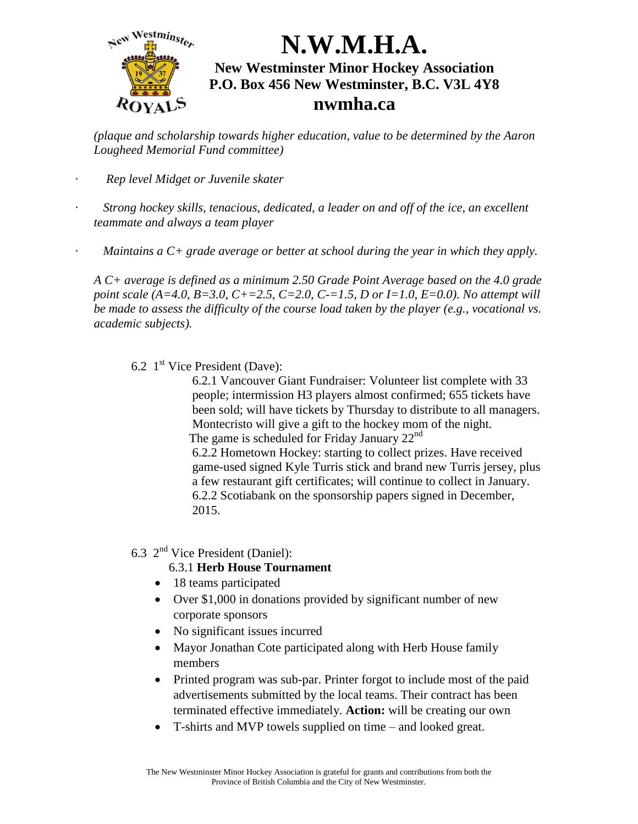

*(plaque and scholarship towards higher education, value to be determined by the Aaron Lougheed Memorial Fund committee)* 

- *· Rep level Midget or Juvenile skater*
- *· Strong hockey skills, tenacious, dedicated, a leader on and off of the ice, an excellent teammate and always a team player*
- *· Maintains a C+ grade average or better at school during the year in which they apply.*

*A C+ average is defined as a minimum 2.50 Grade Point Average based on the 4.0 grade point scale (A=4.0, B=3.0, C+=2.5, C=2.0, C-=1.5, D or I=1.0, E=0.0). No attempt will be made to assess the difficulty of the course load taken by the player (e.g., vocational vs. academic subjects).* 

6.2  $1<sup>st</sup>$  Vice President (Dave):

6.2.1 Vancouver Giant Fundraiser: Volunteer list complete with 33 people; intermission H3 players almost confirmed; 655 tickets have been sold; will have tickets by Thursday to distribute to all managers. Montecristo will give a gift to the hockey mom of the night. The game is scheduled for Friday January  $22<sup>nd</sup>$ 6.2.2 Hometown Hockey: starting to collect prizes. Have received game-used signed Kyle Turris stick and brand new Turris jersey, plus

a few restaurant gift certificates; will continue to collect in January. 6.2.2 Scotiabank on the sponsorship papers signed in December, 2015.

6.3  $2<sup>nd</sup>$  Vice President (Daniel):

#### 6.3.1 **Herb House Tournament**

- 18 teams participated
- Over \$1,000 in donations provided by significant number of new corporate sponsors
- No significant issues incurred
- Mayor Jonathan Cote participated along with Herb House family members
- Printed program was sub-par. Printer forgot to include most of the paid advertisements submitted by the local teams. Their contract has been terminated effective immediately. **Action:** will be creating our own
- T-shirts and MVP towels supplied on time and looked great.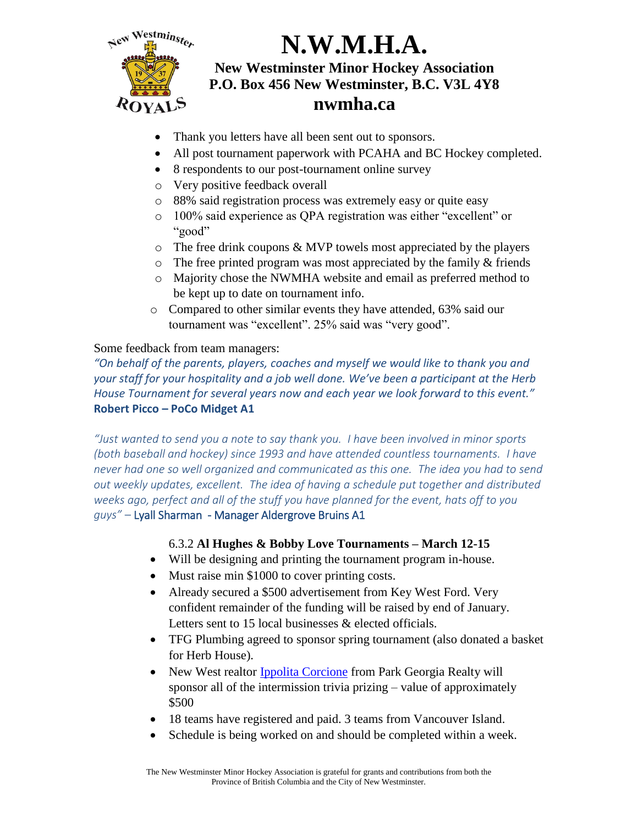

- Thank you letters have all been sent out to sponsors.
- All post tournament paperwork with PCAHA and BC Hockey completed.
- 8 respondents to our post-tournament online survey
- o Very positive feedback overall
- o 88% said registration process was extremely easy or quite easy
- o 100% said experience as QPA registration was either "excellent" or "good"
- $\circ$  The free drink coupons & MVP towels most appreciated by the players
- $\circ$  The free printed program was most appreciated by the family  $\&$  friends
- o Majority chose the NWMHA website and email as preferred method to be kept up to date on tournament info.
- o Compared to other similar events they have attended, 63% said our tournament was "excellent". 25% said was "very good".

### Some feedback from team managers:

*"On behalf of the parents, players, coaches and myself we would like to thank you and your staff for your hospitality and a job well done. We've been a participant at the Herb House Tournament for several years now and each year we look forward to this event."* **Robert Picco – PoCo Midget A1**

*"Just wanted to send you a note to say thank you. I have been involved in minor sports (both baseball and hockey) since 1993 and have attended countless tournaments. I have never had one so well organized and communicated as this one. The idea you had to send out weekly updates, excellent. The idea of having a schedule put together and distributed weeks ago, perfect and all of the stuff you have planned for the event, hats off to you guys"* – Lyall Sharman - Manager Aldergrove Bruins A1

### 6.3.2 **Al Hughes & Bobby Love Tournaments – March 12-15**

- Will be designing and printing the tournament program in-house.
- Must raise min \$1000 to cover printing costs.
- Already secured a \$500 advertisement from Key West Ford. Very confident remainder of the funding will be raised by end of January. Letters sent to 15 local businesses & elected officials.
- TFG Plumbing agreed to sponsor spring tournament (also donated a basket for Herb House).
- New West realtor [Ippolita Corcione](http://ippolita.ca/) from Park Georgia Realty will sponsor all of the intermission trivia prizing – value of approximately \$500
- 18 teams have registered and paid. 3 teams from Vancouver Island.
- Schedule is being worked on and should be completed within a week.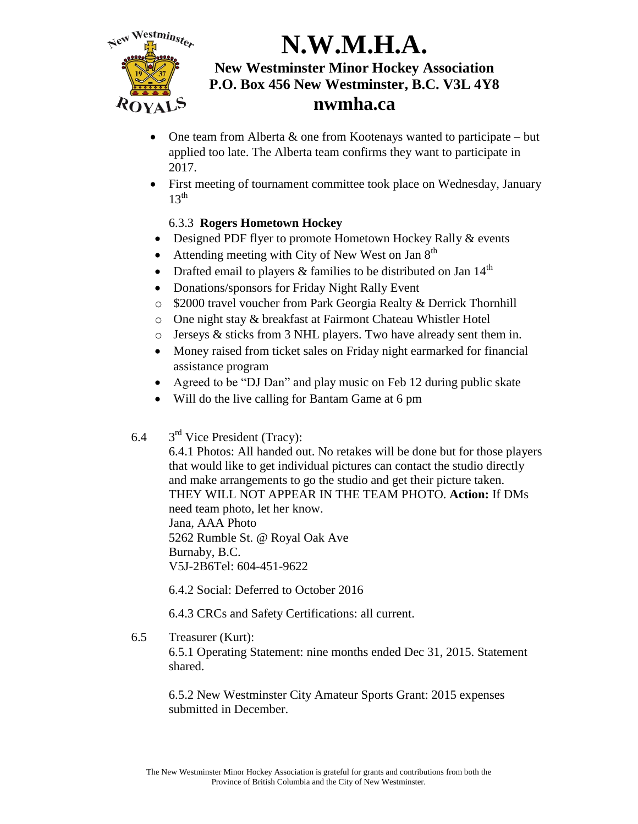

- One team from Alberta & one from Kootenays wanted to participate but applied too late. The Alberta team confirms they want to participate in 2017.
- First meeting of tournament committee took place on Wednesday, January  $13^{\text{th}}$

### 6.3.3 **Rogers Hometown Hockey**

- Designed PDF flyer to promote Hometown Hockey Rally & events
- Attending meeting with City of New West on Jan  $8<sup>th</sup>$
- Drafted email to players & families to be distributed on Jan  $14<sup>th</sup>$
- Donations/sponsors for Friday Night Rally Event
- o \$2000 travel voucher from Park Georgia Realty & Derrick Thornhill
- o One night stay & breakfast at Fairmont Chateau Whistler Hotel
- o Jerseys & sticks from 3 NHL players. Two have already sent them in.
- Money raised from ticket sales on Friday night earmarked for financial assistance program
- Agreed to be "DJ Dan" and play music on Feb 12 during public skate
- Will do the live calling for Bantam Game at 6 pm
- 6.4  $3<sup>rd</sup>$  Vice President (Tracy):

6.4.1 Photos: All handed out. No retakes will be done but for those players that would like to get individual pictures can contact the studio directly and make arrangements to go the studio and get their picture taken. THEY WILL NOT APPEAR IN THE TEAM PHOTO. **Action:** If DMs need team photo, let her know. Jana, AAA Photo

5262 Rumble St. @ Royal Oak Ave Burnaby, B.C. V5J-2B6Tel: 604-451-9622

6.4.2 Social: Deferred to October 2016

6.4.3 CRCs and Safety Certifications: all current.

6.5 Treasurer (Kurt):

6.5.1 Operating Statement: nine months ended Dec 31, 2015. Statement shared.

6.5.2 New Westminster City Amateur Sports Grant: 2015 expenses submitted in December.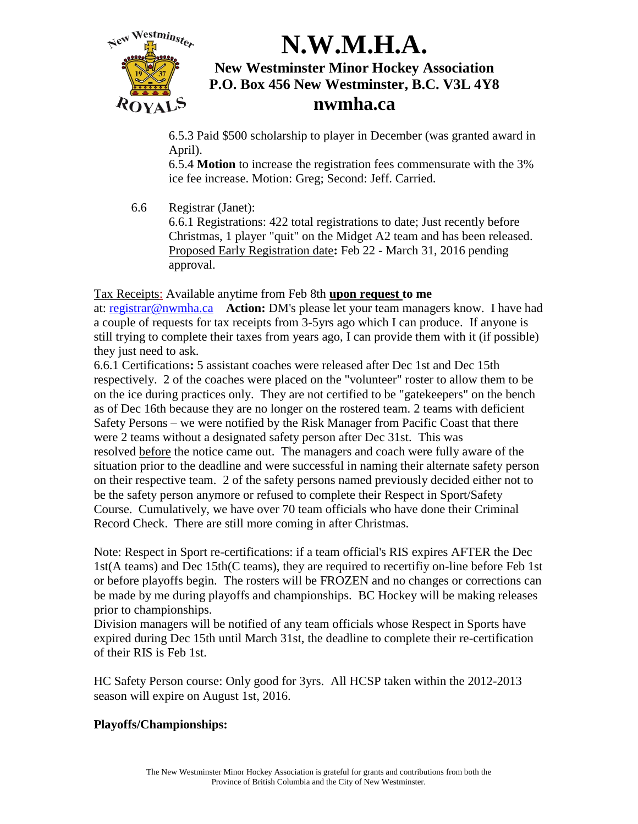

6.5.3 Paid \$500 scholarship to player in December (was granted award in April).

6.5.4 **Motion** to increase the registration fees commensurate with the 3% ice fee increase. Motion: Greg; Second: Jeff. Carried.

6.6 Registrar (Janet):

6.6.1 Registrations: 422 total registrations to date; Just recently before Christmas, 1 player "quit" on the Midget A2 team and has been released. Proposed Early Registration date**:** Feb 22 - March 31, 2016 pending approval.

Tax Receipts: Available anytime from Feb 8th **upon request to me**

at: [registrar@nwmha.ca](mailto:registrar@nwmha.ca) **Action:** DM's please let your team managers know. I have had a couple of requests for tax receipts from 3-5yrs ago which I can produce. If anyone is still trying to complete their taxes from years ago, I can provide them with it (if possible) they just need to ask.

6.6.1 Certifications**:** 5 assistant coaches were released after Dec 1st and Dec 15th respectively. 2 of the coaches were placed on the "volunteer" roster to allow them to be on the ice during practices only. They are not certified to be "gatekeepers" on the bench as of Dec 16th because they are no longer on the rostered team. 2 teams with deficient Safety Persons – we were notified by the Risk Manager from Pacific Coast that there were 2 teams without a designated safety person after Dec 31st. This was resolved before the notice came out. The managers and coach were fully aware of the situation prior to the deadline and were successful in naming their alternate safety person on their respective team. 2 of the safety persons named previously decided either not to be the safety person anymore or refused to complete their Respect in Sport/Safety Course. Cumulatively, we have over 70 team officials who have done their Criminal Record Check. There are still more coming in after Christmas.

Note: Respect in Sport re-certifications: if a team official's RIS expires AFTER the Dec 1st(A teams) and Dec 15th(C teams), they are required to recertifiy on-line before Feb 1st or before playoffs begin. The rosters will be FROZEN and no changes or corrections can be made by me during playoffs and championships. BC Hockey will be making releases prior to championships.

Division managers will be notified of any team officials whose Respect in Sports have expired during Dec 15th until March 31st, the deadline to complete their re-certification of their RIS is Feb 1st.

HC Safety Person course: Only good for 3yrs. All HCSP taken within the 2012-2013 season will expire on August 1st, 2016.

#### **Playoffs/Championships:**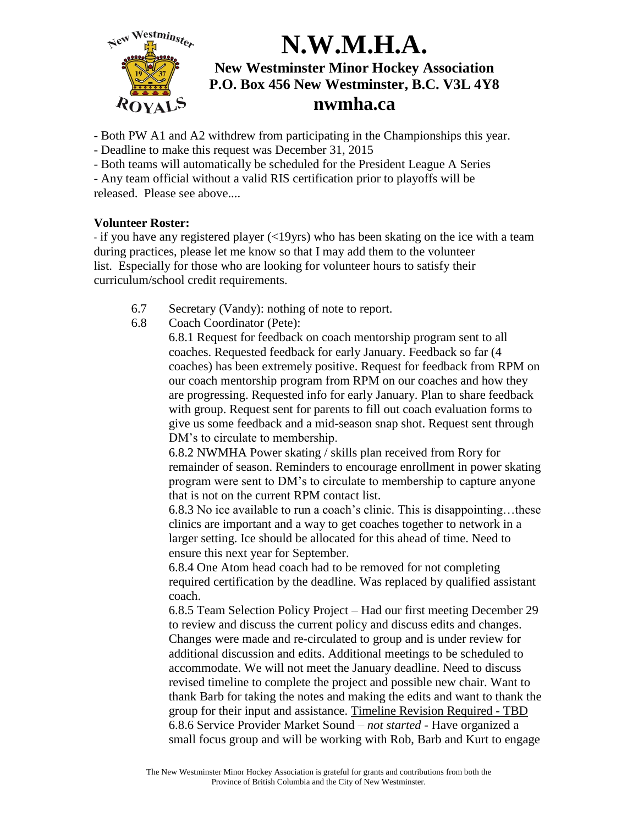

- Both PW A1 and A2 withdrew from participating in the Championships this year.
- Deadline to make this request was December 31, 2015
- Both teams will automatically be scheduled for the President League A Series

- Any team official without a valid RIS certification prior to playoffs will be released. Please see above....

#### **Volunteer Roster:**

- if you have any registered player (<19yrs) who has been skating on the ice with a team during practices, please let me know so that I may add them to the volunteer list. Especially for those who are looking for volunteer hours to satisfy their curriculum/school credit requirements.

- 6.7 Secretary (Vandy): nothing of note to report.
- 6.8 Coach Coordinator (Pete):

6.8.1 Request for feedback on coach mentorship program sent to all coaches. Requested feedback for early January. Feedback so far (4 coaches) has been extremely positive. Request for feedback from RPM on our coach mentorship program from RPM on our coaches and how they are progressing. Requested info for early January. Plan to share feedback with group. Request sent for parents to fill out coach evaluation forms to give us some feedback and a mid-season snap shot. Request sent through DM's to circulate to membership.

6.8.2 NWMHA Power skating / skills plan received from Rory for remainder of season. Reminders to encourage enrollment in power skating program were sent to DM's to circulate to membership to capture anyone that is not on the current RPM contact list.

6.8.3 No ice available to run a coach's clinic. This is disappointing…these clinics are important and a way to get coaches together to network in a larger setting. Ice should be allocated for this ahead of time. Need to ensure this next year for September.

6.8.4 One Atom head coach had to be removed for not completing required certification by the deadline. Was replaced by qualified assistant coach.

6.8.5 Team Selection Policy Project – Had our first meeting December 29 to review and discuss the current policy and discuss edits and changes. Changes were made and re-circulated to group and is under review for additional discussion and edits. Additional meetings to be scheduled to accommodate. We will not meet the January deadline. Need to discuss revised timeline to complete the project and possible new chair. Want to thank Barb for taking the notes and making the edits and want to thank the group for their input and assistance. Timeline Revision Required - TBD 6.8.6 Service Provider Market Sound – *not started* - Have organized a small focus group and will be working with Rob, Barb and Kurt to engage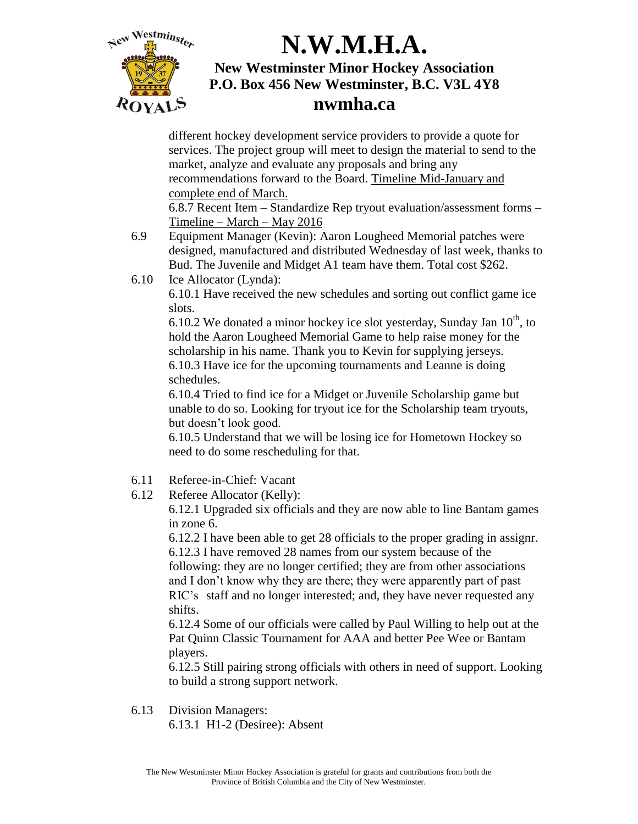

different hockey development service providers to provide a quote for services. The project group will meet to design the material to send to the market, analyze and evaluate any proposals and bring any recommendations forward to the Board. Timeline Mid-January and complete end of March.

6.8.7 Recent Item – Standardize Rep tryout evaluation/assessment forms – Timeline – March – May 2016

- 6.9 Equipment Manager (Kevin): Aaron Lougheed Memorial patches were designed, manufactured and distributed Wednesday of last week, thanks to Bud. The Juvenile and Midget A1 team have them. Total cost \$262.
- 6.10 Ice Allocator (Lynda):

6.10.1 Have received the new schedules and sorting out conflict game ice slots.

6.10.2 We donated a minor hockey ice slot yesterday, Sunday Jan  $10^{th}$ , to hold the Aaron Lougheed Memorial Game to help raise money for the scholarship in his name. Thank you to Kevin for supplying jerseys. 6.10.3 Have ice for the upcoming tournaments and Leanne is doing schedules.

6.10.4 Tried to find ice for a Midget or Juvenile Scholarship game but unable to do so. Looking for tryout ice for the Scholarship team tryouts, but doesn't look good.

6.10.5 Understand that we will be losing ice for Hometown Hockey so need to do some rescheduling for that.

- 6.11 Referee-in-Chief: Vacant
- 6.12 Referee Allocator (Kelly):

6.12.1 Upgraded six officials and they are now able to line Bantam games in zone 6.

6.12.2 I have been able to get 28 officials to the proper grading in assignr. 6.12.3 I have removed 28 names from our system because of the following: they are no longer certified; they are from other associations and I don't know why they are there; they were apparently part of past RIC's staff and no longer interested; and, they have never requested any shifts.

6.12.4 Some of our officials were called by Paul Willing to help out at the Pat Quinn Classic Tournament for AAA and better Pee Wee or Bantam players.

6.12.5 Still pairing strong officials with others in need of support. Looking to build a strong support network.

6.13 Division Managers:

6.13.1 H1-2 (Desiree): Absent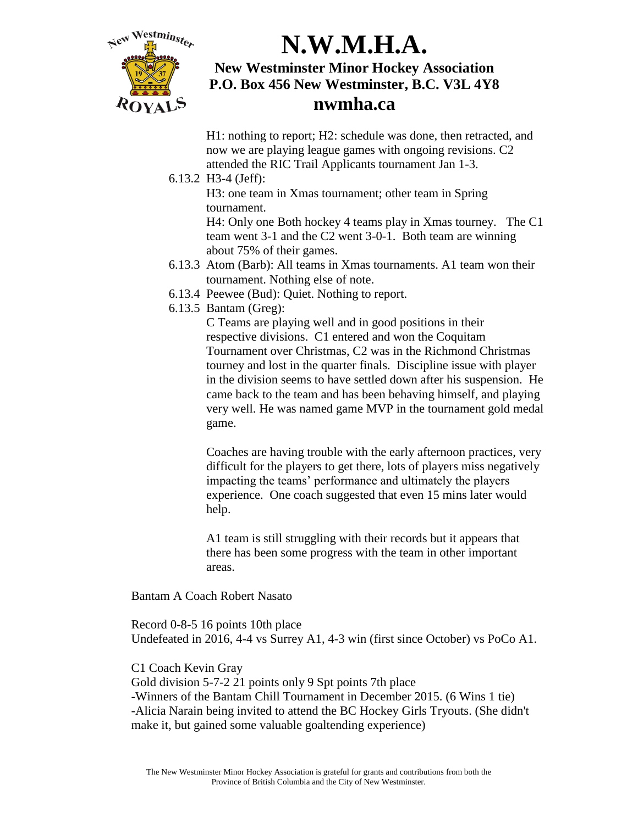

H1: nothing to report; H2: schedule was done, then retracted, and now we are playing league games with ongoing revisions. C2 attended the RIC Trail Applicants tournament Jan 1-3.

#### 6.13.2 H3-4 (Jeff):

H3: one team in Xmas tournament; other team in Spring tournament.

H4: Only one Both hockey 4 teams play in Xmas tourney. The C1 team went 3-1 and the C2 went 3-0-1. Both team are winning about 75% of their games.

- 6.13.3 Atom (Barb): All teams in Xmas tournaments. A1 team won their tournament. Nothing else of note.
- 6.13.4 Peewee (Bud): Quiet. Nothing to report.
- 6.13.5 Bantam (Greg):

C Teams are playing well and in good positions in their respective divisions. C1 entered and won the Coquitam Tournament over Christmas, C2 was in the Richmond Christmas tourney and lost in the quarter finals. Discipline issue with player in the division seems to have settled down after his suspension. He came back to the team and has been behaving himself, and playing very well. He was named game MVP in the tournament gold medal game.

Coaches are having trouble with the early afternoon practices, very difficult for the players to get there, lots of players miss negatively impacting the teams' performance and ultimately the players experience. One coach suggested that even 15 mins later would help.

A1 team is still struggling with their records but it appears that there has been some progress with the team in other important areas.

Bantam A Coach Robert Nasato

Record 0-8-5 16 points 10th place Undefeated in 2016, 4-4 vs Surrey A1, 4-3 win (first since October) vs PoCo A1.

#### C1 Coach Kevin Gray

Gold division 5-7-2 21 points only 9 Spt points 7th place -Winners of the Bantam Chill Tournament in December 2015. (6 Wins 1 tie) -Alicia Narain being invited to attend the BC Hockey Girls Tryouts. (She didn't make it, but gained some valuable goaltending experience)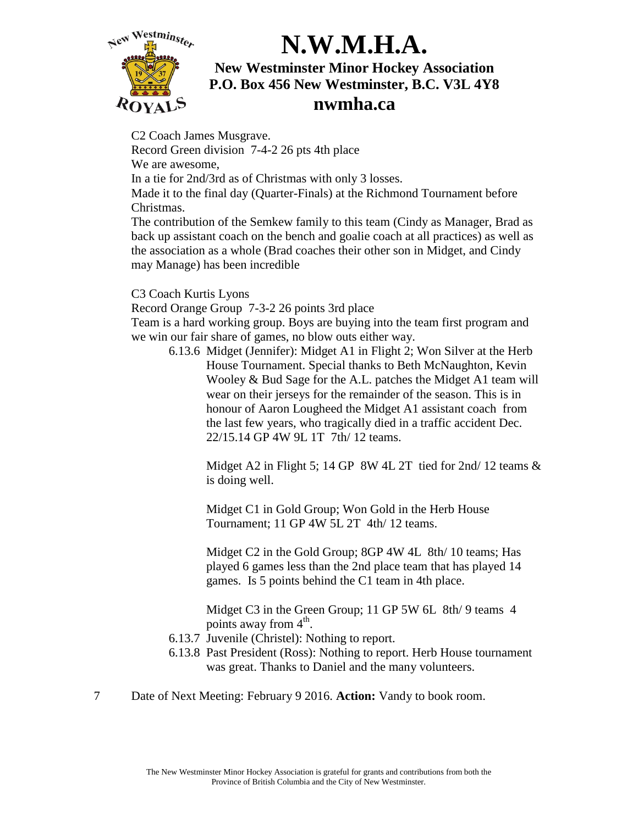

### **nwmha.ca**

C2 Coach James Musgrave. Record Green division 7-4-2 26 pts 4th place We are awesome, In a tie for 2nd/3rd as of Christmas with only 3 losses. Made it to the final day (Quarter-Finals) at the Richmond Tournament before Christmas.

The contribution of the Semkew family to this team (Cindy as Manager, Brad as back up assistant coach on the bench and goalie coach at all practices) as well as the association as a whole (Brad coaches their other son in Midget, and Cindy may Manage) has been incredible

C3 Coach Kurtis Lyons

Record Orange Group 7-3-2 26 points 3rd place

Team is a hard working group. Boys are buying into the team first program and we win our fair share of games, no blow outs either way.

6.13.6 Midget (Jennifer): Midget A1 in Flight 2; Won Silver at the Herb House Tournament. Special thanks to Beth McNaughton, Kevin Wooley & Bud Sage for the A.L. patches the Midget A1 team will wear on their jerseys for the remainder of the season. This is in honour of Aaron Lougheed the Midget A1 assistant coach from the last few years, who tragically died in a traffic accident Dec. 22/15.14 GP 4W 9L 1T 7th/ 12 teams.

> Midget A2 in Flight 5; 14 GP 8W 4L 2T tied for 2nd/ 12 teams & is doing well.

Midget C1 in Gold Group; Won Gold in the Herb House Tournament; 11 GP 4W 5L 2T 4th/ 12 teams.

Midget C2 in the Gold Group; 8GP 4W 4L 8th/ 10 teams; Has played 6 games less than the 2nd place team that has played 14 games. Is 5 points behind the C1 team in 4th place.

Midget C3 in the Green Group; 11 GP 5W 6L 8th/9 teams 4 points away from  $4^{\text{th}}$ .

- 6.13.7 Juvenile (Christel): Nothing to report.
- 6.13.8 Past President (Ross): Nothing to report. Herb House tournament was great. Thanks to Daniel and the many volunteers.
- 7 Date of Next Meeting: February 9 2016. **Action:** Vandy to book room.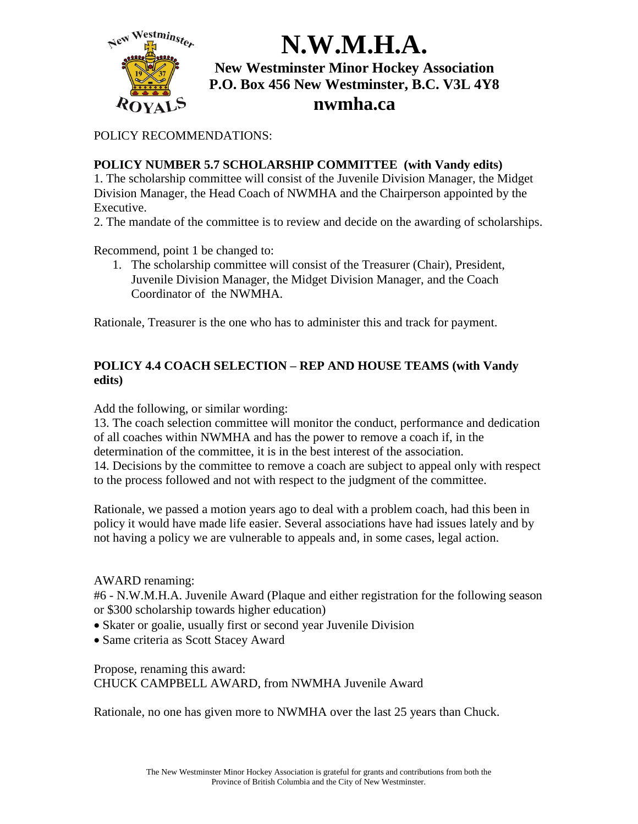

POLICY RECOMMENDATIONS:

#### **POLICY NUMBER 5.7 SCHOLARSHIP COMMITTEE (with Vandy edits)**

1. The scholarship committee will consist of the Juvenile Division Manager, the Midget Division Manager, the Head Coach of NWMHA and the Chairperson appointed by the Executive.

2. The mandate of the committee is to review and decide on the awarding of scholarships.

Recommend, point 1 be changed to:

1. The scholarship committee will consist of the Treasurer (Chair), President, Juvenile Division Manager, the Midget Division Manager, and the Coach Coordinator of the NWMHA.

Rationale, Treasurer is the one who has to administer this and track for payment.

#### **POLICY 4.4 COACH SELECTION – REP AND HOUSE TEAMS (with Vandy edits)**

Add the following, or similar wording:

13. The coach selection committee will monitor the conduct, performance and dedication of all coaches within NWMHA and has the power to remove a coach if, in the determination of the committee, it is in the best interest of the association. 14. Decisions by the committee to remove a coach are subject to appeal only with respect to the process followed and not with respect to the judgment of the committee.

Rationale, we passed a motion years ago to deal with a problem coach, had this been in policy it would have made life easier. Several associations have had issues lately and by not having a policy we are vulnerable to appeals and, in some cases, legal action.

#### AWARD renaming:

#6 - N.W.M.H.A. Juvenile Award (Plaque and either registration for the following season or \$300 scholarship towards higher education)

- Skater or goalie, usually first or second year Juvenile Division
- Same criteria as Scott Stacey Award

Propose, renaming this award: CHUCK CAMPBELL AWARD, from NWMHA Juvenile Award

Rationale, no one has given more to NWMHA over the last 25 years than Chuck.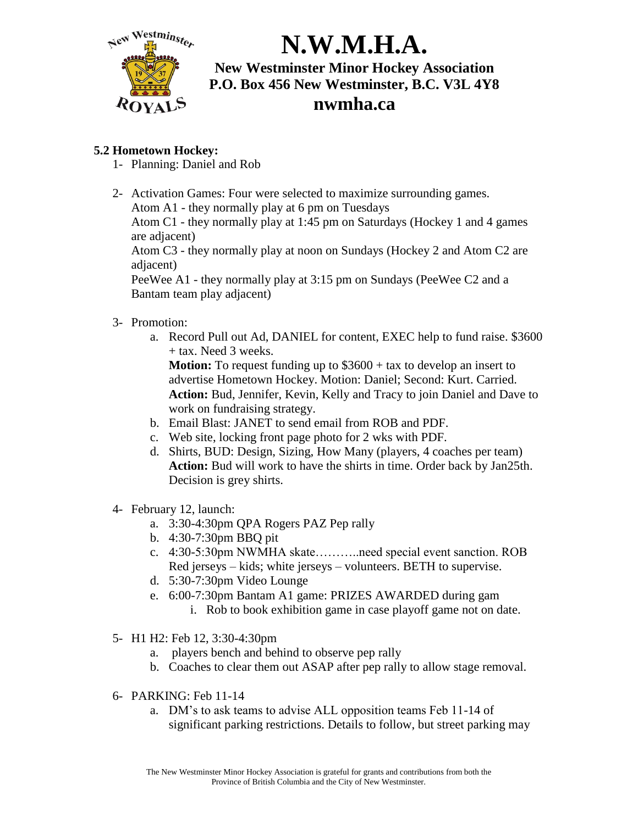

#### **5.2 Hometown Hockey:**

- 1- Planning: Daniel and Rob
- 2- Activation Games: Four were selected to maximize surrounding games. Atom A1 - they normally play at 6 pm on Tuesdays Atom C1 - they normally play at 1:45 pm on Saturdays (Hockey 1 and 4 games are adjacent) Atom C3 - they normally play at noon on Sundays (Hockey 2 and Atom C2 are adjacent)

PeeWee A1 - they normally play at 3:15 pm on Sundays (PeeWee C2 and a Bantam team play adjacent)

- 3- Promotion:
	- a. Record Pull out Ad, DANIEL for content, EXEC help to fund raise. \$3600 + tax. Need 3 weeks.

**Motion:** To request funding up to \$3600 + tax to develop an insert to advertise Hometown Hockey. Motion: Daniel; Second: Kurt. Carried. **Action:** Bud, Jennifer, Kevin, Kelly and Tracy to join Daniel and Dave to work on fundraising strategy.

- b. Email Blast: JANET to send email from ROB and PDF.
- c. Web site, locking front page photo for 2 wks with PDF.
- d. Shirts, BUD: Design, Sizing, How Many (players, 4 coaches per team) **Action:** Bud will work to have the shirts in time. Order back by Jan25th. Decision is grey shirts.
- 4- February 12, launch:
	- a. 3:30-4:30pm QPA Rogers PAZ Pep rally
	- b. 4:30-7:30pm BBQ pit
	- c. 4:30-5:30pm NWMHA skate………..need special event sanction. ROB Red jerseys – kids; white jerseys – volunteers. BETH to supervise.
	- d. 5:30-7:30pm Video Lounge
	- e. 6:00-7:30pm Bantam A1 game: PRIZES AWARDED during gam
		- i. Rob to book exhibition game in case playoff game not on date.
- 5- H1 H2: Feb 12, 3:30-4:30pm
	- a. players bench and behind to observe pep rally
	- b. Coaches to clear them out ASAP after pep rally to allow stage removal.
- 6- PARKING: Feb 11-14
	- a. DM's to ask teams to advise ALL opposition teams Feb 11-14 of significant parking restrictions. Details to follow, but street parking may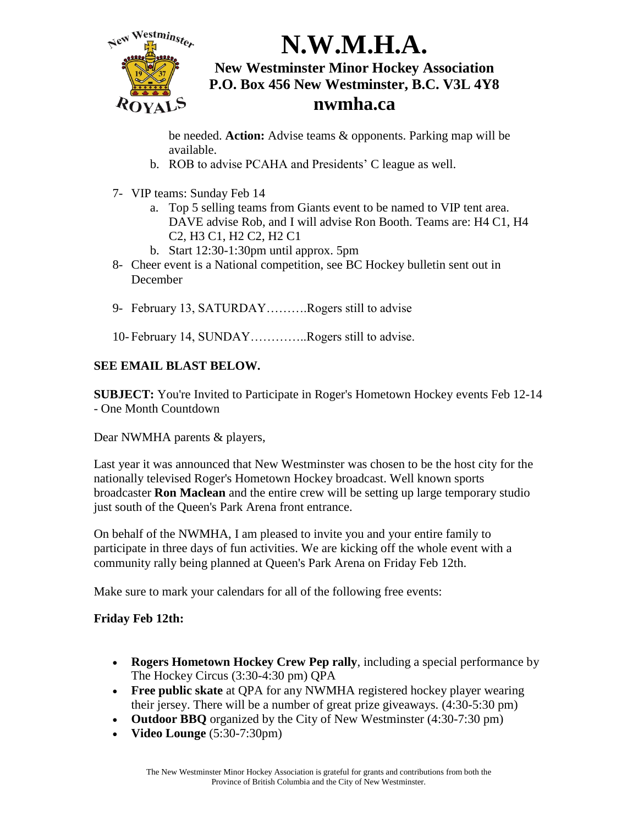

be needed. **Action:** Advise teams & opponents. Parking map will be available.

- b. ROB to advise PCAHA and Presidents' C league as well.
- 7- VIP teams: Sunday Feb 14
	- a. Top 5 selling teams from Giants event to be named to VIP tent area. DAVE advise Rob, and I will advise Ron Booth. Teams are: H4 C1, H4 C2, H3 C1, H2 C2, H2 C1
	- b. Start 12:30-1:30pm until approx. 5pm
- 8- Cheer event is a National competition, see BC Hockey bulletin sent out in December
- 9- February 13, SATURDAY.........Rogers still to advise
- 10- February 14, SUNDAY…………..Rogers still to advise.

#### **SEE EMAIL BLAST BELOW.**

**SUBJECT:** You're Invited to Participate in Roger's Hometown Hockey events Feb 12-14 - One Month Countdown

Dear NWMHA parents & players,

Last year it was announced that New Westminster was chosen to be the host city for the nationally televised Roger's Hometown Hockey broadcast. Well known sports broadcaster **Ron Maclean** and the entire crew will be setting up large temporary studio just south of the Queen's Park Arena front entrance.

On behalf of the NWMHA, I am pleased to invite you and your entire family to participate in three days of fun activities. We are kicking off the whole event with a community rally being planned at Queen's Park Arena on Friday Feb 12th.

Make sure to mark your calendars for all of the following free events:

#### **Friday Feb 12th:**

- **Rogers Hometown Hockey Crew Pep rally**, including a special performance by The Hockey Circus (3:30-4:30 pm) QPA
- **Free public skate** at QPA for any NWMHA registered hockey player wearing their jersey. There will be a number of great prize giveaways. (4:30-5:30 pm)
- **Outdoor BBQ** organized by the City of New Westminster (4:30-7:30 pm)
- **Video Lounge** (5:30-7:30pm)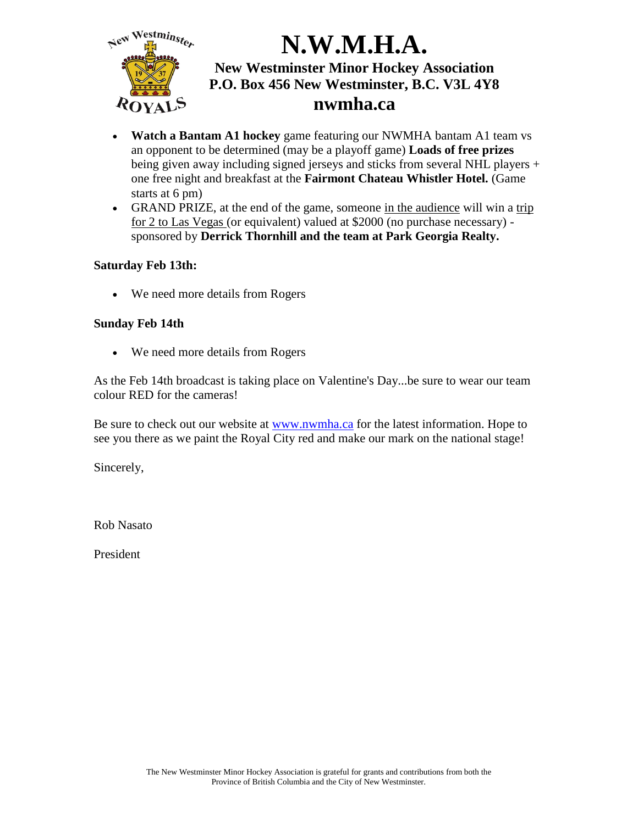

- **Watch a Bantam A1 hockey** game featuring our NWMHA bantam A1 team vs an opponent to be determined (may be a playoff game) **Loads of free prizes** being given away including signed jerseys and sticks from several NHL players + one free night and breakfast at the **Fairmont Chateau Whistler Hotel.** (Game starts at 6 pm)
- GRAND PRIZE, at the end of the game, someone in the audience will win a trip for 2 to Las Vegas (or equivalent) valued at \$2000 (no purchase necessary) sponsored by **Derrick Thornhill and the team at Park Georgia Realty.**

#### **Saturday Feb 13th:**

We need more details from Rogers

#### **Sunday Feb 14th**

We need more details from Rogers

As the Feb 14th broadcast is taking place on Valentine's Day...be sure to wear our team colour RED for the cameras!

Be sure to check out our website at [www.nwmha.ca](http://www.nwmha.ca/) for the latest information. Hope to see you there as we paint the Royal City red and make our mark on the national stage!

Sincerely,

Rob Nasato

President